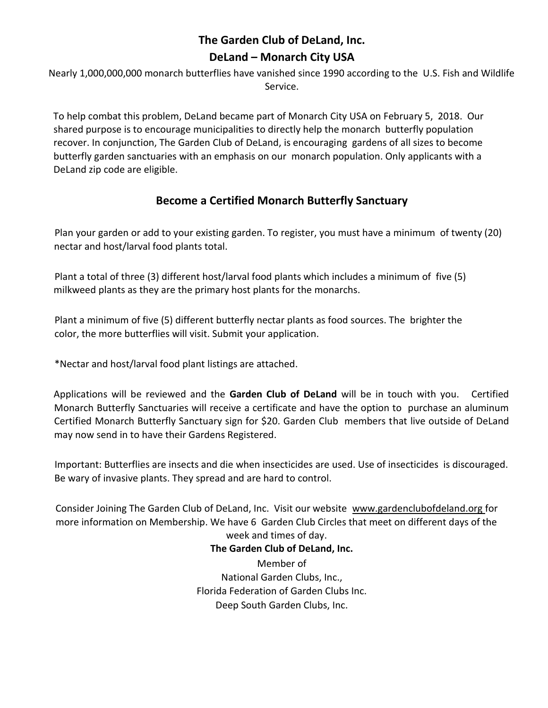# **The Garden Club of DeLand, Inc. DeLand – Monarch City USA**

Nearly 1,000,000,000 monarch butterflies have vanished since 1990 according to the U.S. Fish and Wildlife Service.

To help combat this problem, DeLand became part of Monarch City USA on February 5, 2018. Our shared purpose is to encourage municipalities to directly help the monarch butterfly population recover. In conjunction, The Garden Club of DeLand, is encouraging gardens of all sizes to become butterfly garden sanctuaries with an emphasis on our monarch population. Only applicants with a DeLand zip code are eligible.

## **Become a Certified Monarch Butterfly Sanctuary**

Plan your garden or add to your existing garden. To register, you must have a minimum of twenty (20) nectar and host/larval food plants total.

Plant a total of three (3) different host/larval food plants which includes a minimum of five (5) milkweed plants as they are the primary host plants for the monarchs.

Plant a minimum of five (5) different butterfly nectar plants as food sources. The brighter the color, the more butterflies will visit. Submit your application.

\*Nectar and host/larval food plant listings are attached.

Applications will be reviewed and the **Garden Club of DeLand** will be in touch with you. Certified Monarch Butterfly Sanctuaries will receive a certificate and have the option to purchase an aluminum Certified Monarch Butterfly Sanctuary sign for \$20. Garden Club members that live outside of DeLand may now send in to have their Gardens Registered.

Important: Butterflies are insects and die when insecticides are used. Use of insecticides is discouraged. Be wary of invasive plants. They spread and are hard to control.

Consider Joining The Garden Club of DeLand, Inc. Visit our website www.gardenclubofdeland.org for more information on Membership. We have 6 Garden Club Circles that meet on different days of the week and times of day.

> **The Garden Club of DeLand, Inc.**  Member of National Garden Clubs, Inc., Florida Federation of Garden Clubs Inc. Deep South Garden Clubs, Inc.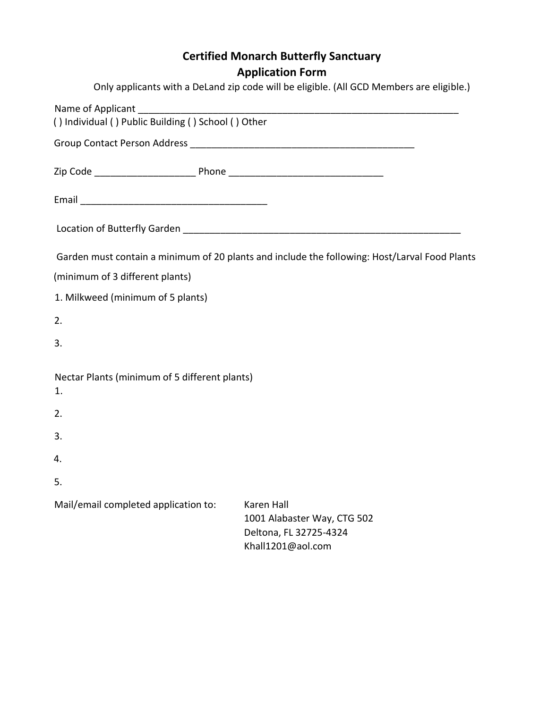# **Certified Monarch Butterfly Sanctuary Application Form**

|                                                           | Only applicants with a DeLand zip code will be eligible. (All GCD Members are eligible.)        |
|-----------------------------------------------------------|-------------------------------------------------------------------------------------------------|
|                                                           |                                                                                                 |
|                                                           |                                                                                                 |
|                                                           |                                                                                                 |
|                                                           |                                                                                                 |
|                                                           |                                                                                                 |
|                                                           | Garden must contain a minimum of 20 plants and include the following: Host/Larval Food Plants   |
| (minimum of 3 different plants)                           |                                                                                                 |
| 1. Milkweed (minimum of 5 plants)                         |                                                                                                 |
| 2.                                                        |                                                                                                 |
| 3.                                                        |                                                                                                 |
| Nectar Plants (minimum of 5 different plants)<br>1.<br>2. |                                                                                                 |
| 3.                                                        |                                                                                                 |
| 4.                                                        |                                                                                                 |
| 5.                                                        |                                                                                                 |
| Mail/email completed application to:                      | <b>Karen Hall</b><br>1001 Alabaster Way, CTG 502<br>Deltona, FL 32725-4324<br>Khall1201@aol.com |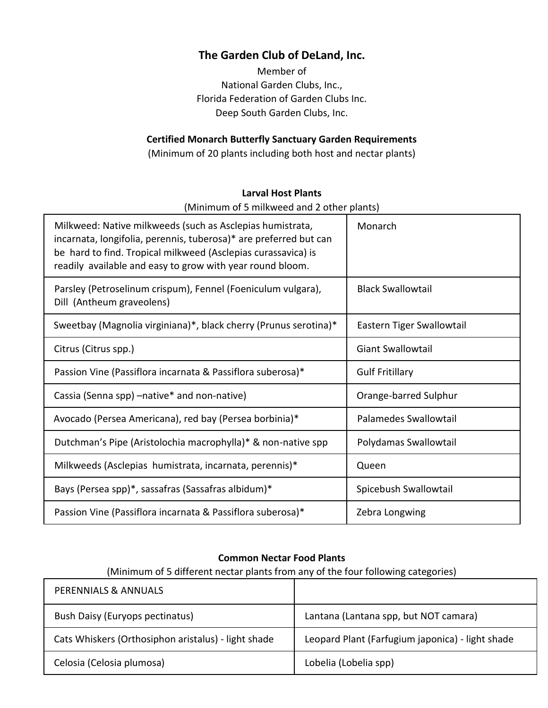## **The Garden Club of DeLand, Inc.**

Member of National Garden Clubs, Inc., Florida Federation of Garden Clubs Inc. Deep South Garden Clubs, Inc.

## **Certified Monarch Butterfly Sanctuary Garden Requirements**

(Minimum of 20 plants including both host and nectar plants)

### **Larval Host Plants**

(Minimum of 5 milkweed and 2 other plants)

| Milkweed: Native milkweeds (such as Asclepias humistrata,<br>incarnata, longifolia, perennis, tuberosa)* are preferred but can<br>be hard to find. Tropical milkweed (Asclepias curassavica) is<br>readily available and easy to grow with year round bloom. | Monarch                   |
|--------------------------------------------------------------------------------------------------------------------------------------------------------------------------------------------------------------------------------------------------------------|---------------------------|
| Parsley (Petroselinum crispum), Fennel (Foeniculum vulgara),<br>Dill (Antheum graveolens)                                                                                                                                                                    | <b>Black Swallowtail</b>  |
| Sweetbay (Magnolia virginiana)*, black cherry (Prunus serotina)*                                                                                                                                                                                             | Eastern Tiger Swallowtail |
| Citrus (Citrus spp.)                                                                                                                                                                                                                                         | <b>Giant Swallowtail</b>  |
| Passion Vine (Passiflora incarnata & Passiflora suberosa)*                                                                                                                                                                                                   | <b>Gulf Fritillary</b>    |
| Cassia (Senna spp) - native* and non-native)                                                                                                                                                                                                                 | Orange-barred Sulphur     |
| Avocado (Persea Americana), red bay (Persea borbinia)*                                                                                                                                                                                                       | Palamedes Swallowtail     |
| Dutchman's Pipe (Aristolochia macrophylla)* & non-native spp                                                                                                                                                                                                 | Polydamas Swallowtail     |
| Milkweeds (Asclepias humistrata, incarnata, perennis)*                                                                                                                                                                                                       | Queen                     |
| Bays (Persea spp)*, sassafras (Sassafras albidum)*                                                                                                                                                                                                           | Spicebush Swallowtail     |
| Passion Vine (Passiflora incarnata & Passiflora suberosa)*                                                                                                                                                                                                   | Zebra Longwing            |

#### **Common Nectar Food Plants**

(Minimum of 5 different nectar plants from any of the four following categories)

| PERENNIALS & ANNUALS                                |                                                  |
|-----------------------------------------------------|--------------------------------------------------|
| <b>Bush Daisy (Euryops pectinatus)</b>              | Lantana (Lantana spp, but NOT camara)            |
| Cats Whiskers (Orthosiphon aristalus) - light shade | Leopard Plant (Farfugium japonica) - light shade |
| Celosia (Celosia plumosa)                           | Lobelia (Lobelia spp)                            |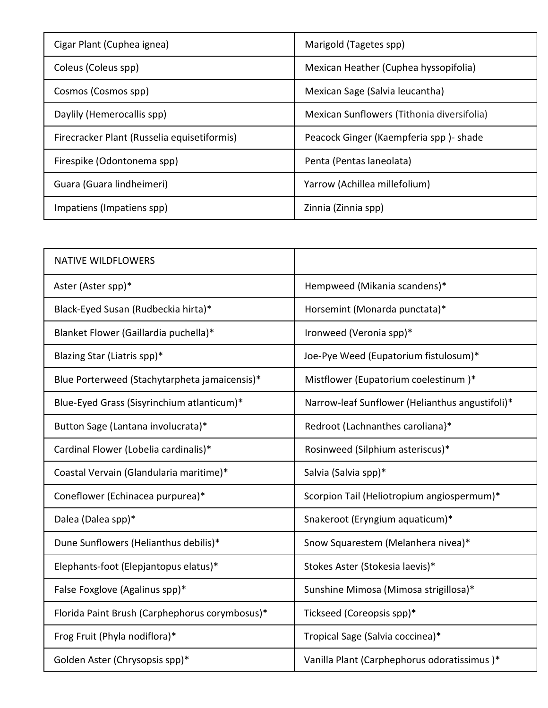| Cigar Plant (Cuphea ignea)                  | Marigold (Tagetes spp)                     |
|---------------------------------------------|--------------------------------------------|
| Coleus (Coleus spp)                         | Mexican Heather (Cuphea hyssopifolia)      |
| Cosmos (Cosmos spp)                         | Mexican Sage (Salvia leucantha)            |
| Daylily (Hemerocallis spp)                  | Mexican Sunflowers (Tithonia diversifolia) |
| Firecracker Plant (Russelia equisetiformis) | Peacock Ginger (Kaempferia spp) - shade    |
| Firespike (Odontonema spp)                  | Penta (Pentas laneolata)                   |
| Guara (Guara lindheimeri)                   | Yarrow (Achillea millefolium)              |
| Impatiens (Impatiens spp)                   | Zinnia (Zinnia spp)                        |

| <b>NATIVE WILDFLOWERS</b>                      |                                                 |
|------------------------------------------------|-------------------------------------------------|
| Aster (Aster spp)*                             | Hempweed (Mikania scandens)*                    |
| Black-Eyed Susan (Rudbeckia hirta)*            | Horsemint (Monarda punctata)*                   |
| Blanket Flower (Gaillardia puchella)*          | Ironweed (Veronia spp)*                         |
| Blazing Star (Liatris spp)*                    | Joe-Pye Weed (Eupatorium fistulosum)*           |
| Blue Porterweed (Stachytarpheta jamaicensis)*  | Mistflower (Eupatorium coelestinum)*            |
| Blue-Eyed Grass (Sisyrinchium atlanticum)*     | Narrow-leaf Sunflower (Helianthus angustifoli)* |
| Button Sage (Lantana involucrata)*             | Redroot (Lachnanthes caroliana}*                |
| Cardinal Flower (Lobelia cardinalis)*          | Rosinweed (Silphium asteriscus)*                |
| Coastal Vervain (Glandularia maritime)*        | Salvia (Salvia spp)*                            |
| Coneflower (Echinacea purpurea)*               | Scorpion Tail (Heliotropium angiospermum)*      |
| Dalea (Dalea spp)*                             | Snakeroot (Eryngium aquaticum)*                 |
| Dune Sunflowers (Helianthus debilis)*          | Snow Squarestem (Melanhera nivea)*              |
| Elephants-foot (Elepjantopus elatus)*          | Stokes Aster (Stokesia laevis)*                 |
| False Foxglove (Agalinus spp)*                 | Sunshine Mimosa (Mimosa strigillosa)*           |
| Florida Paint Brush (Carphephorus corymbosus)* | Tickseed (Coreopsis spp)*                       |
| Frog Fruit (Phyla nodiflora)*                  | Tropical Sage (Salvia coccinea)*                |
| Golden Aster (Chrysopsis spp)*                 | Vanilla Plant (Carphephorus odoratissimus)*     |